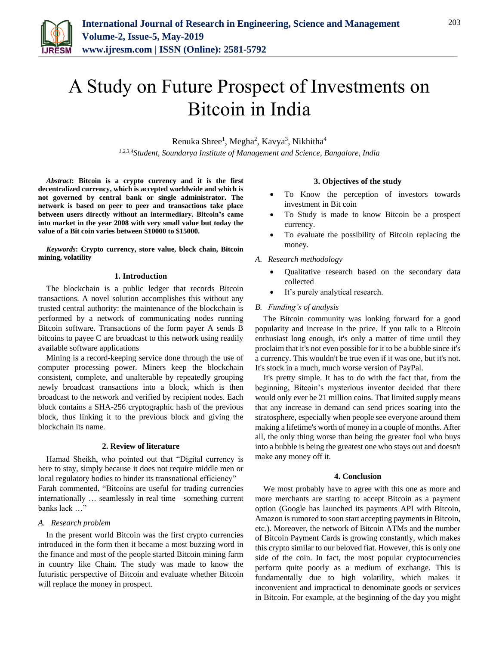

# A Study on Future Prospect of Investments on Bitcoin in India

Renuka Shree<sup>1</sup>, Megha<sup>2</sup>, Kavya<sup>3</sup>, Nikhitha<sup>4</sup>

*1,2,3,4Student, Soundarya Institute of Management and Science, Bangalore, India*

*Abstract***: Bitcoin is a crypto currency and it is the first decentralized currency, which is accepted worldwide and which is not governed by central bank or single administrator. The network is based on peer to peer and transactions take place between users directly without an intermediary. Bitcoin's came into market in the year 2008 with very small value but today the value of a Bit coin varies between \$10000 to \$15000.** 

*Keywords***: Crypto currency, store value, block chain, Bitcoin mining, volatility**

## **1. Introduction**

The blockchain is a public ledger that records Bitcoin transactions. A novel solution accomplishes this without any trusted central authority: the maintenance of the blockchain is performed by a network of communicating nodes running Bitcoin software. Transactions of the form payer A sends B bitcoins to payee C are broadcast to this network using readily available software applications

Mining is a record-keeping service done through the use of computer processing power. Miners keep the blockchain consistent, complete, and unalterable by repeatedly grouping newly broadcast transactions into a block, which is then broadcast to the network and verified by recipient nodes. Each block contains a SHA-256 cryptographic hash of the previous block, thus linking it to the previous block and giving the blockchain its name.

# **2. Review of literature**

Hamad Sheikh, who pointed out that "Digital currency is here to stay, simply because it does not require middle men or local regulatory bodies to hinder its transnational efficiency" Farah commented, "Bitcoins are useful for trading currencies internationally … seamlessly in real time—something current banks lack …"

# *A. Research problem*

In the present world Bitcoin was the first crypto currencies introduced in the form then it became a most buzzing word in the finance and most of the people started Bitcoin mining farm in country like Chain. The study was made to know the futuristic perspective of Bitcoin and evaluate whether Bitcoin will replace the money in prospect.

# **3. Objectives of the study**

- To Know the perception of investors towards investment in Bit coin
- To Study is made to know Bitcoin be a prospect currency.
- To evaluate the possibility of Bitcoin replacing the money.

#### *A. Research methodology*

- Qualitative research based on the secondary data collected
- It's purely analytical research.

## *B. Funding's of analysis*

The Bitcoin community was looking forward for a good popularity and increase in the price. If you talk to a Bitcoin enthusiast long enough, it's only a matter of time until they proclaim that it's not even possible for it to be a bubble since it's a currency. This wouldn't be true even if it was one, but it's not. It's stock in a much, much worse version of PayPal.

It's pretty simple. It has to do with the fact that, from the beginning, Bitcoin's mysterious inventor decided that there would only ever be 21 million coins. That limited supply means that any increase in demand can send prices soaring into the stratosphere, especially when people see everyone around them making a lifetime's worth of money in a couple of months. After all, the only thing worse than being the greater fool who buys into a bubble is being the greatest one who stays out and doesn't make any money off it.

## **4. Conclusion**

We most probably have to agree with this one as more and more merchants are starting to accept Bitcoin as a payment option (Google has launched its payments API with Bitcoin, Amazon is rumored to soon start accepting payments in Bitcoin, etc.). Moreover, the network of Bitcoin ATMs and the number of Bitcoin Payment Cards is growing constantly, which makes this crypto similar to our beloved fiat. However, this is only one side of the coin. In fact, the most popular cryptocurrencies perform quite poorly as a medium of exchange. This is fundamentally due to high volatility, which makes it inconvenient and impractical to denominate goods or services in Bitcoin. For example, at the beginning of the day you might